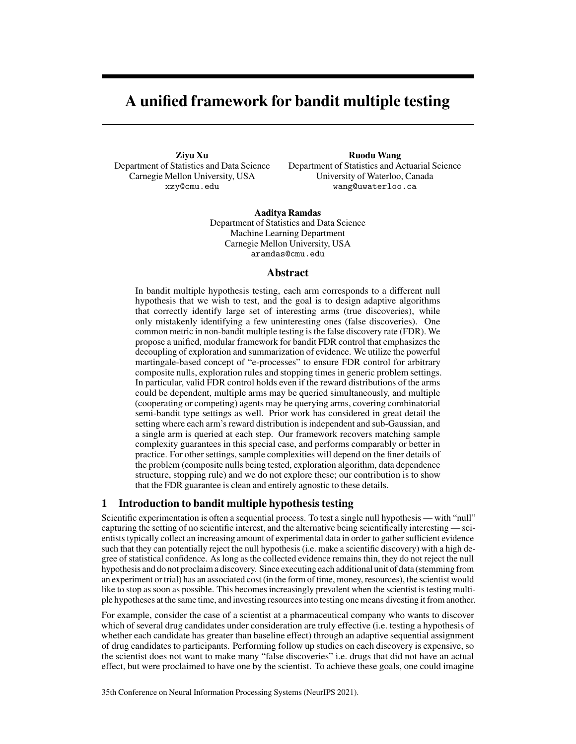# A unified framework for bandit multiple testing

Ziyu Xu Department of Statistics and Data Science Carnegie Mellon University, USA xzy@cmu.edu

Ruodu Wang

Department of Statistics and Actuarial Science University of Waterloo, Canada wang@uwaterloo.ca

Aaditya Ramdas Department of Statistics and Data Science Machine Learning Department Carnegie Mellon University, USA aramdas@cmu.edu

## Abstract

In bandit multiple hypothesis testing, each arm corresponds to a different null hypothesis that we wish to test, and the goal is to design adaptive algorithms that correctly identify large set of interesting arms (true discoveries), while only mistakenly identifying a few uninteresting ones (false discoveries). One common metric in non-bandit multiple testing is the false discovery rate (FDR). We propose a unified, modular framework for bandit FDR control that emphasizes the decoupling of exploration and summarization of evidence. We utilize the powerful martingale-based concept of "e-processes" to ensure FDR control for arbitrary composite nulls, exploration rules and stopping times in generic problem settings. In particular, valid FDR control holds even if the reward distributions of the arms could be dependent, multiple arms may be queried simultaneously, and multiple (cooperating or competing) agents may be querying arms, covering combinatorial semi-bandit type settings as well. Prior work has considered in great detail the setting where each arm's reward distribution is independent and sub-Gaussian, and a single arm is queried at each step. Our framework recovers matching sample complexity guarantees in this special case, and performs comparably or better in practice. For other settings, sample complexities will depend on the finer details of the problem (composite nulls being tested, exploration algorithm, data dependence structure, stopping rule) and we do not explore these; our contribution is to show that the FDR guarantee is clean and entirely agnostic to these details.

## 1 Introduction to bandit multiple hypothesis testing

Scientific experimentation is often a sequential process. To test a single null hypothesis — with "null" capturing the setting of no scientific interest, and the alternative being scientifically interesting — scientists typically collect an increasing amount of experimental data in order to gather sufficient evidence such that they can potentially reject the null hypothesis (i.e. make a scientific discovery) with a high degree of statistical confidence. As long as the collected evidence remains thin, they do not reject the null hypothesis and do not proclaim a discovery. Since executing each additional unit of data (stemming from an experiment or trial) has an associated cost (in the form of time, money, resources), the scientist would like to stop as soon as possible. This becomes increasingly prevalent when the scientist is testing multiple hypotheses at the same time, and investing resources into testing one means divesting it from another.

For example, consider the case of a scientist at a pharmaceutical company who wants to discover which of several drug candidates under consideration are truly effective (i.e. testing a hypothesis of whether each candidate has greater than baseline effect) through an adaptive sequential assignment of drug candidates to participants. Performing follow up studies on each discovery is expensive, so the scientist does not want to make many "false discoveries" i.e. drugs that did not have an actual effect, but were proclaimed to have one by the scientist. To achieve these goals, one could imagine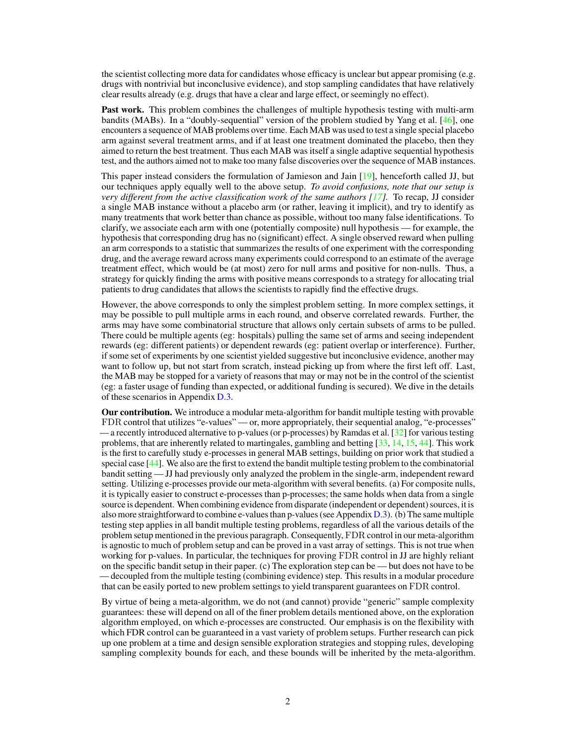the scientist collecting more data for candidates whose efficacy is unclear but appear promising (e.g. drugs with nontrivial but inconclusive evidence), and stop sampling candidates that have relatively clear results already (e.g. drugs that have a clear and large effect, or seemingly no effect).

Past work. This problem combines the challenges of multiple hypothesis testing with multi-arm bandits (MABs). In a "doubly-sequential" version of the problem studied by Yang et al. [\[46\]](#page-12-0), one encounters a sequence of MAB problems over time. Each MAB was used to test a single special placebo arm against several treatment arms, and if at least one treatment dominated the placebo, then they aimed to return the best treatment. Thus each MAB was itself a single adaptive sequential hypothesis test, and the authors aimed not to make too many false discoveries over the sequence of MAB instances.

This paper instead considers the formulation of Jamieson and Jain [\[19\]](#page-10-0), henceforth called JJ, but our techniques apply equally well to the above setup. *To avoid confusions, note that our setup is very different from the active classification work of the same authors [\[17\]](#page-10-1).* To recap, JJ consider a single MAB instance without a placebo arm (or rather, leaving it implicit), and try to identify as many treatments that work better than chance as possible, without too many false identifications. To clarify, we associate each arm with one (potentially composite) null hypothesis — for example, the hypothesis that corresponding drug has no (significant) effect. A single observed reward when pulling an arm corresponds to a statistic that summarizes the results of one experiment with the corresponding drug, and the average reward across many experiments could correspond to an estimate of the average treatment effect, which would be (at most) zero for null arms and positive for non-nulls. Thus, a strategy for quickly finding the arms with positive means corresponds to a strategy for allocating trial patients to drug candidates that allows the scientists to rapidly find the effective drugs.

However, the above corresponds to only the simplest problem setting. In more complex settings, it may be possible to pull multiple arms in each round, and observe correlated rewards. Further, the arms may have some combinatorial structure that allows only certain subsets of arms to be pulled. There could be multiple agents (eg: hospitals) pulling the same set of arms and seeing independent rewards (eg: different patients) or dependent rewards (eg: patient overlap or interference). Further, if some set of experiments by one scientist yielded suggestive but inconclusive evidence, another may want to follow up, but not start from scratch, instead picking up from where the first left off. Last, the MAB may be stopped for a variety of reasons that may or may not be in the control of the scientist (eg: a faster usage of funding than expected, or additional funding is secured). We dive in the details of these scenarios in Appendix [D.3.](#page--1-0)

Our contribution. We introduce a modular meta-algorithm for bandit multiple testing with provable FDR control that utilizes "e-values" — or, more appropriately, their sequential analog, "e-processes" — a recently introduced alternative to p-values (or p-processes) by Ramdas et al. [\[32\]](#page-11-0) for various testing problems, that are inherently related to martingales, gambling and betting [\[33,](#page-11-1) [14,](#page-10-2) [15,](#page-10-3) [44\]](#page-11-2). This work is the first to carefully study e-processes in general MAB settings, building on prior work that studied a special case [\[44\]](#page-11-2). We also are the first to extend the bandit multiple testing problem to the combinatorial bandit setting — JJ had previously only analyzed the problem in the single-arm, independent reward setting. Utilizing e-processes provide our meta-algorithm with several benefits. (a) For composite nulls, it is typically easier to construct e-processes than p-processes; the same holds when data from a single source is dependent. When combining evidence from disparate (independent or dependent) sources, it is also more straightforward to combine e-values than p-values (see Appendix [D.3\)](#page--1-0). (b) The same multiple testing step applies in all bandit multiple testing problems, regardless of all the various details of the problem setup mentioned in the previous paragraph. Consequently, FDR control in our meta-algorithm is agnostic to much of problem setup and can be proved in a vast array of settings. This is not true when working for p-values. In particular, the techniques for proving FDR control in JJ are highly reliant on the specific bandit setup in their paper. (c) The exploration step can be — but does not have to be — decoupled from the multiple testing (combining evidence) step. This results in a modular procedure that can be easily ported to new problem settings to yield transparent guarantees on FDR control.

By virtue of being a meta-algorithm, we do not (and cannot) provide "generic" sample complexity guarantees: these will depend on all of the finer problem details mentioned above, on the exploration algorithm employed, on which e-processes are constructed. Our emphasis is on the flexibility with which FDR control can be guaranteed in a vast variety of problem setups. Further research can pick up one problem at a time and design sensible exploration strategies and stopping rules, developing sampling complexity bounds for each, and these bounds will be inherited by the meta-algorithm.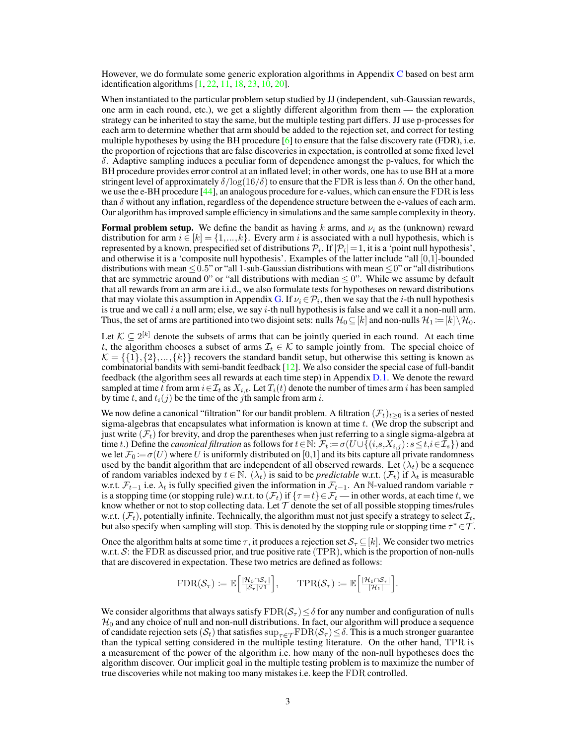However, we do formulate some generic exploration algorithms in Appendix [C](#page--1-1) based on best arm identification algorithms [\[1,](#page-10-4) [22,](#page-11-3) [11,](#page-10-5) [18,](#page-10-6) [23,](#page-11-4) [10,](#page-10-7) [20\]](#page-10-8).

When instantiated to the particular problem setup studied by JJ (independent, sub-Gaussian rewards, one arm in each round, etc.), we get a slightly different algorithm from them — the exploration strategy can be inherited to stay the same, but the multiple testing part differs. JJ use p-processes for each arm to determine whether that arm should be added to the rejection set, and correct for testing multiple hypotheses by using the BH procedure  $[6]$  to ensure that the false discovery rate (FDR), i.e. the proportion of rejections that are false discoveries in expectation, is controlled at some fixed level  $\delta$ . Adaptive sampling induces a peculiar form of dependence amongst the p-values, for which the BH procedure provides error control at an inflated level; in other words, one has to use BH at a more stringent level of approximately  $\delta / \log(16/\delta)$  to ensure that the FDR is less than  $\delta$ . On the other hand, we use the e-BH procedure [\[44\]](#page-11-2), an analogous procedure for e-values, which can ensure the FDR is less than  $\delta$  without any inflation, regardless of the dependence structure between the e-values of each arm. Our algorithm has improved sample efficiency in simulations and the same sample complexity in theory.

**Formal problem setup.** We define the bandit as having k arms, and  $\nu_i$  as the (unknown) reward distribution for arm  $i \in [k] = \{1, ..., k\}$ . Every arm i is associated with a null hypothesis, which is represented by a known, prespecified set of distributions  $\mathcal{P}_i.$  If  $|\mathcal{P}_i|\!=\!1,$  it is a 'point null hypothesis', and otherwise it is a 'composite null hypothesis'. Examples of the latter include "all [0,1]-bounded distributions with mean  $\leq 0.5$ " or "all 1-sub-Gaussian distributions with mean  $\leq 0$ " or "all distributions that are symmetric around 0" or "all distributions with median  $\leq$  0". While we assume by default that all rewards from an arm are i.i.d., we also formulate tests for hypotheses on reward distributions that may violate this assumption in Appendix [G.](#page--1-2) If  $\nu_i \in \mathcal{P}_i$ , then we say that the *i*-th null hypothesis is true and we call  $i$  a null arm; else, we say  $i$ -th null hypothesis is false and we call it a non-null arm. Thus, the set of arms are partitioned into two disjoint sets: nulls  $\mathcal{H}_0 \subseteq [k]$  and non-nulls  $\mathcal{H}_1 := [k] \setminus \mathcal{H}_0$ .

Let  $K \subseteq 2^{[k]}$  denote the subsets of arms that can be jointly queried in each round. At each time t, the algorithm chooses a subset of arms  $\mathcal{I}_t \in \mathcal{K}$  to sample jointly from. The special choice of  $\mathcal{K} = \{\{1\},\{2\},\ldots,\{k\}\}\$  recovers the standard bandit setup, but otherwise this setting is known as combinatorial bandits with semi-bandit feedback [\[12\]](#page-10-10). We also consider the special case of full-bandit feedback (the algorithm sees all rewards at each time step) in Appendix [D.1.](#page--1-3) We denote the reward sampled at time t from arm  $i \in \mathcal{I}_t$  as  $X_{i,t}$ . Let  $T_i(t)$  denote the number of times arm i has been sampled by time t, and  $t_i(j)$  be the time of the jth sample from arm i.

We now define a canonical "filtration" for our bandit problem. A filtration  $(\mathcal{F}_t)_{t>0}$  is a series of nested sigma-algebras that encapsulates what information is known at time  $t$ . (We drop the subscript and just write  $(\mathcal{F}_t)$  for brevity, and drop the parentheses when just referring to a single sigma-algebra at time t.) Define the *canonical filtration* as follows for  $t \in \mathbb{N}$ :  $\mathcal{F}_t := \sigma(U \cup \{(i,s,X_{i,j}): s \le t, i \in \mathcal{I}_s\})$  and we let  $\mathcal{F}_0 := \sigma(U)$  where U is uniformly distributed on [0,1] and its bits capture all private randomness used by the bandit algorithm that are independent of all observed rewards. Let  $(\lambda_t)$  be a sequence of random variables indexed by  $t \in \mathbb{N}$ . ( $\lambda_t$ ) is said to be *predictable* w.r.t. ( $\mathcal{F}_t$ ) if  $\lambda_t$  is measurable w.r.t.  $\mathcal{F}_{t-1}$  i.e.  $\lambda_t$  is fully specified given the information in  $\mathcal{F}_{t-1}$ . An N-valued random variable  $\tau$ is a stopping time (or stopping rule) w.r.t. to  $(\mathcal{F}_t)$  if  $\{\tau = t\} \in \mathcal{F}_t$  — in other words, at each time t, we know whether or not to stop collecting data. Let  $\mathcal T$  denote the set of all possible stopping times/rules w.r.t.  $(\mathcal{F}_t)$ , potentially infinite. Technically, the algorithm must not just specify a strategy to select  $\mathcal{I}_t$ , but also specify when sampling will stop. This is denoted by the stopping rule or stopping time  $\tau^* \in \mathcal{T}$ .

Once the algorithm halts at some time  $\tau$ , it produces a rejection set  $\mathcal{S}_{\tau} \subseteq [k]$ . We consider two metrics w.r.t.  $S$ : the FDR as discussed prior, and true positive rate (TPR), which is the proportion of non-nulls that are discovered in expectation. These two metrics are defined as follows:

$$
\text{FDR}(\mathcal{S}_{\tau}) \coloneqq \mathbb{E}\bigg[\tfrac{|\mathcal{H}_0 \cap \mathcal{S}_{\tau}|}{|\mathcal{S}_{\tau}| \vee 1}\bigg], \qquad \text{TPR}(\mathcal{S}_{\tau}) \coloneqq \mathbb{E}\bigg[\tfrac{|\mathcal{H}_1 \cap \mathcal{S}_{\tau}|}{|\mathcal{H}_1|}\bigg].
$$

We consider algorithms that always satisfy  $FDR(S_\tau) \leq \delta$  for any number and configuration of nulls  $\mathcal{H}_0$  and any choice of null and non-null distributions. In fact, our algorithm will produce a sequence of candidate rejection sets  $(S_t)$  that satisfies  $\sup_{\tau \in \mathcal{T}} \text{FDR}(S_\tau) \leq \delta$ . This is a much stronger guarantee than the typical setting considered in the multiple testing literature. On the other hand, TPR is a measurement of the power of the algorithm i.e. how many of the non-null hypotheses does the algorithm discover. Our implicit goal in the multiple testing problem is to maximize the number of true discoveries while not making too many mistakes i.e. keep the FDR controlled.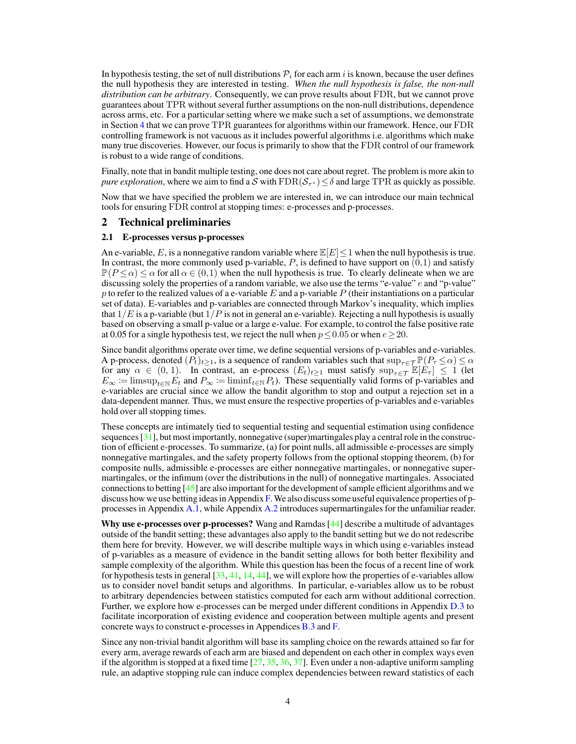In hypothesis testing, the set of null distributions  $P_i$  for each arm i is known, because the user defines the null hypothesis they are interested in testing. *When the null hypothesis is false, the non-null distribution can be arbitrary*. Consequently, we can prove results about FDR, but we cannot prove guarantees about TPR without several further assumptions on the non-null distributions, dependence across arms, etc. For a particular setting where we make such a set of assumptions, we demonstrate in Section [4](#page-7-0) that we can prove TPR guarantees for algorithms within our framework. Hence, our FDR controlling framework is not vacuous as it includes powerful algorithms i.e. algorithms which make many true discoveries. However, our focus is primarily to show that the FDR control of our framework is robust to a wide range of conditions.

Finally, note that in bandit multiple testing, one does not care about regret. The problem is more akin to *pure exploration*, where we aim to find a S with  $\text{FDR}(\mathcal{S}_{\tau^*}) \leq \delta$  and large TPR as quickly as possible.

Now that we have specified the problem we are interested in, we can introduce our main technical tools for ensuring FDR control at stopping times: e-processes and p-processes.

## 2 Technical preliminaries

### 2.1 E-processes versus p-processes

An e-variable, E, is a nonnegative random variable where  $\mathbb{E}[E] \leq 1$  when the null hypothesis is true. In contrast, the more commonly used p-variable,  $P$ , is defined to have support on  $(0,1)$  and satisfy  $\mathbb{P}(P \le \alpha) \le \alpha$  for all  $\alpha \in (0,1)$  when the null hypothesis is true. To clearly delineate when we are discussing solely the properties of a random variable, we also use the terms "e-value"  $e$  and "p-value" p to refer to the realized values of a e-variable  $E$  and a p-variable  $P$  (their instantiations on a particular set of data). E-variables and p-variables are connected through Markov's inequality, which implies that  $1/E$  is a p-variable (but  $1/P$  is not in general an e-variable). Rejecting a null hypothesis is usually based on observing a small p-value or a large e-value. For example, to control the false positive rate at 0.05 for a single hypothesis test, we reject the null when  $p \le 0.05$  or when  $e \ge 20$ .

Since bandit algorithms operate over time, we define sequential versions of p-variables and e-variables. A p-process, denoted  $(P_t)_{t\geq 1}$ , is a sequence of random variables such that  $\sup_{\tau\in\mathcal{T}}\mathbb{P}(P_\tau \leq \alpha) \leq \alpha$ for any  $\alpha \in (0, 1)$ . In contrast, an e-process  $(E_t)_{t\geq 1}$  must satisfy  $\sup_{\tau \in \mathcal{T}} \mathbb{E}[\hat{E}_{\tau}] \leq 1$  (let  $E_{\infty}$  := limsup<sub>t∈N</sub>  $E_t$  and  $P_{\infty}$  := liminf<sub>t∈N</sub>  $P_t$ ). These sequentially valid forms of p-variables and e-variables are crucial since we allow the bandit algorithm to stop and output a rejection set in a data-dependent manner. Thus, we must ensure the respective properties of p-variables and e-variables hold over all stopping times.

These concepts are intimately tied to sequential testing and sequential estimation using confidence sequences [\[31\]](#page-11-5), but most importantly, nonnegative (super)martingales play a central role in the construction of efficient e-processes. To summarize, (a) for point nulls, all admissible e-processes are simply nonnegative martingales, and the safety property follows from the optional stopping theorem, (b) for composite nulls, admissible e-processes are either nonnegative martingales, or nonnegative supermartingales, or the infimum (over the distributions in the null) of nonnegative martingales. Associated connections to betting [\[45\]](#page-12-1) are also important for the development of sample efficient algorithms and we discuss how we use betting ideas in Appendix  $\bf{F}$ . We also discuss some useful equivalence properties of pprocesses in Appendix [A.1,](#page--1-5) while Appendix [A.2](#page--1-6) introduces supermartingales for the unfamiliar reader.

Why use e-processes over p-processes? Wang and Ramdas [\[44\]](#page-11-2) describe a multitude of advantages outside of the bandit setting; these advantages also apply to the bandit setting but we do not redescribe them here for brevity. However, we will describe multiple ways in which using e-variables instead of p-variables as a measure of evidence in the bandit setting allows for both better flexibility and sample complexity of the algorithm. While this question has been the focus of a recent line of work for hypothesis tests in general  $[33, 41, 14, 44]$  $[33, 41, 14, 44]$  $[33, 41, 14, 44]$  $[33, 41, 14, 44]$  $[33, 41, 14, 44]$  $[33, 41, 14, 44]$  $[33, 41, 14, 44]$ , we will explore how the properties of e-variables allow us to consider novel bandit setups and algorithms. In particular, e-variables allow us to be robust to arbitrary dependencies between statistics computed for each arm without additional correction. Further, we explore how e-processes can be merged under different conditions in Appendix [D.3](#page--1-0) to facilitate incorporation of existing evidence and cooperation between multiple agents and present concrete ways to construct e-processes in Appendices [B.3](#page--1-7) and [F.](#page--1-4)

Since any non-trivial bandit algorithm will base its sampling choice on the rewards attained so far for every arm, average rewards of each arm are biased and dependent on each other in complex ways even if the algorithm is stopped at a fixed time  $[27, 35, 36, 37]$  $[27, 35, 36, 37]$  $[27, 35, 36, 37]$  $[27, 35, 36, 37]$  $[27, 35, 36, 37]$  $[27, 35, 36, 37]$  $[27, 35, 36, 37]$ . Even under a non-adaptive uniform sampling rule, an adaptive stopping rule can induce complex dependencies between reward statistics of each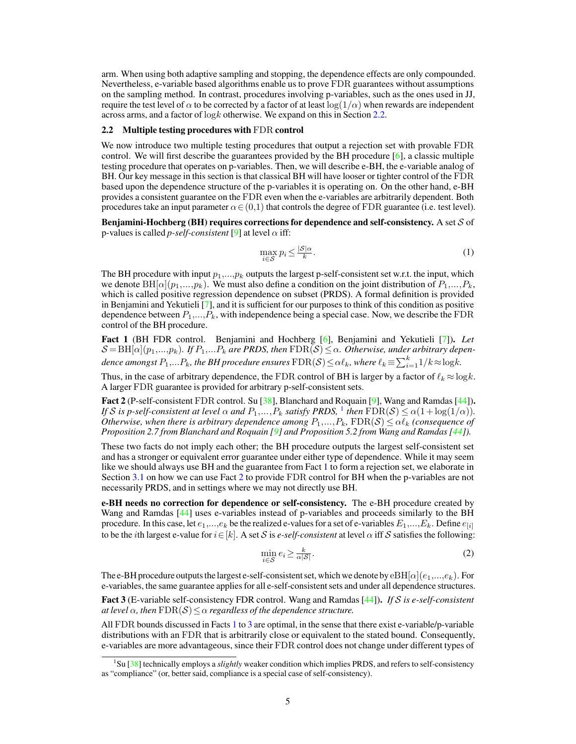arm. When using both adaptive sampling and stopping, the dependence effects are only compounded. Nevertheless, e-variable based algorithms enable us to prove FDR guarantees without assumptions on the sampling method. In contrast, procedures involving p-variables, such as the ones used in JJ, require the test level of  $\alpha$  to be corrected by a factor of at least  $\log(1/\alpha)$  when rewards are independent across arms, and a factor of  $\log k$  otherwise. We expand on this in Section [2.2.](#page-4-0)

#### <span id="page-4-0"></span>2.2 Multiple testing procedures with FDR control

We now introduce two multiple testing procedures that output a rejection set with provable FDR control. We will first describe the guarantees provided by the BH procedure  $[6]$ , a classic multiple testing procedure that operates on p-variables. Then, we will describe e-BH, the e-variable analog of BH. Our key message in this section is that classical BH will have looser or tighter control of the FDR based upon the dependence structure of the p-variables it is operating on. On the other hand, e-BH provides a consistent guarantee on the FDR even when the e-variables are arbitrarily dependent. Both procedures take an input parameter  $\alpha \in (0,1)$  that controls the degree of FDR guarantee (i.e. test level).

Benjamini-Hochberg (BH) requires corrections for dependence and self-consistency. A set  $S$  of p-values is called *p-self-consistent* [\[9\]](#page-10-11) at level  $\alpha$  iff:

$$
\max_{i \in \mathcal{S}} p_i \le \frac{|\mathcal{S}|\alpha}{k}.\tag{1}
$$

The BH procedure with input  $p_1,..., p_k$  outputs the largest p-self-consistent set w.r.t. the input, which we denote  $\text{BH}[\alpha](p_1,...,p_k)$ . We must also define a condition on the joint distribution of  $P_1,...,P_k$ , which is called positive regression dependence on subset (PRDS). A formal definition is provided in Benjamini and Yekutieli [\[7\]](#page-10-12), and it is sufficient for our purposes to think of this condition as positive dependence between  $P_1,...,P_k$ , with independence being a special case. Now, we describe the FDR control of the BH procedure.

<span id="page-4-2"></span>Fact 1 (BH FDR control. Benjamini and Hochberg [\[6\]](#page-10-9), Benjamini and Yekutieli [\[7\]](#page-10-12)). *Let*  $\mathcal{S} = BH[\alpha](p_1,...,p_k)$ . If  $P_1,...P_k$  are PRDS, then  $FDR(S) \leq \alpha$ . Otherwise, under arbitrary dependence amongst  $P_1,...P_k$ , the BH procedure ensures  $\text{FDR}(\mathcal{S})$   $\leq$   $\alpha \ell_k$ , where  $\ell_k$   $\equiv$   $\sum_{i=1}^k 1/k$   $\approx$   $\log$ k.

Thus, in the case of arbitrary dependence, the FDR control of BH is larger by a factor of  $\ell_k \approx \log k$ . A larger FDR guarantee is provided for arbitrary p-self-consistent sets.

<span id="page-4-3"></span>Fact 2 (P-self-consistent FDR control. Su [\[38\]](#page-11-11), Blanchard and Roquain [\[9\]](#page-10-11), Wang and Ramdas [\[44\]](#page-11-2)). *If S* is p-self-consistent at level  $\alpha$  and  $P_1, \ldots, P_k$  $P_1, \ldots, P_k$  $P_1, \ldots, P_k$  satisfy PRDS, <sup>1</sup> then  $\text{FDR}(\mathcal{S}) \leq \alpha(1 + \log(1/\alpha))$ . *Otherwise, when there is arbitrary dependence among*  $P_1, ..., P_k$ ,  $FDR(S) \leq \alpha \ell_k$  (consequence of *Proposition 2.7 from Blanchard and Roquain [\[9\]](#page-10-11) and Proposition 5.2 from Wang and Ramdas [\[44\]](#page-11-2)).*

These two facts do not imply each other; the BH procedure outputs the largest self-consistent set and has a stronger or equivalent error guarantee under either type of dependence. While it may seem like we should always use BH and the guarantee from Fact [1](#page-4-2) to form a rejection set, we elaborate in Section [3.1](#page-5-0) on how we can use Fact [2](#page-4-3) to provide FDR control for BH when the p-variables are not necessarily PRDS, and in settings where we may not directly use BH.

e-BH needs no correction for dependence or self-consistency. The e-BH procedure created by Wang and Ramdas [\[44\]](#page-11-2) uses e-variables instead of p-variables and proceeds similarly to the BH procedure. In this case, let  $e_1,...,e_k$  be the realized e-values for a set of e-variables  $E_1,...,E_k$ . Define  $e_{[i]}$ to be the *i*th largest e-value for  $i \in [k]$ . A set S is *e-self-consistent* at level  $\alpha$  iff S satisfies the following:

$$
\min_{i \in S} e_i \ge \frac{k}{\alpha |S|}.\tag{2}
$$

The e-BH procedure outputs the largest e-self-consistent set, which we denote by  $eBH[\alpha](e_1,...,e_k)$ . For e-variables, the same guarantee applies for all e-self-consistent sets and under all dependence structures.

<span id="page-4-4"></span>Fact 3 (E-variable self-consistency FDR control. Wang and Ramdas [\[44\]](#page-11-2)). *If is e-self-consistent at level*  $\alpha$ , then  $FDR(S) \leq \alpha$  regardless of the dependence structure.

All FDR bounds discussed in Facts [1](#page-4-2) to [3](#page-4-4) are optimal, in the sense that there exist e-variable/p-variable distributions with an FDR that is arbitrarily close or equivalent to the stated bound. Consequently, e-variables are more advantageous, since their FDR control does not change under different types of

<span id="page-4-1"></span><sup>&</sup>lt;sup>1</sup>Su [\[38\]](#page-11-11) technically employs a *slightly* weaker condition which implies PRDS, and refers to self-consistency as "compliance" (or, better said, compliance is a special case of self-consistency).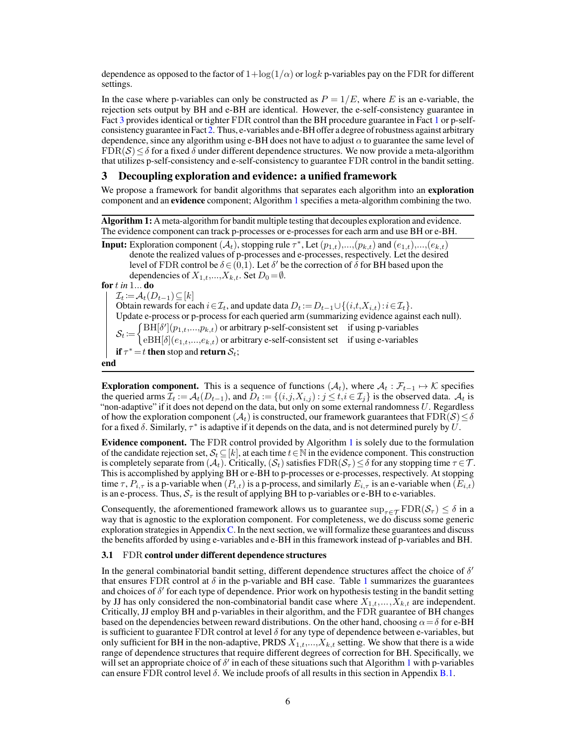dependence as opposed to the factor of  $1+\log(1/\alpha)$  or  $\log k$  p-variables pay on the FDR for different settings.

In the case where p-variables can only be constructed as  $P = 1/E$ , where E is an e-variable, the rejection sets output by BH and e-BH are identical. However, the e-self-consistency guarantee in Fact [3](#page-4-4) provides identical or tighter FDR control than the BH procedure guarantee in Fact [1](#page-4-2) or p-selfconsistency guarantee in Fact [2.](#page-4-3) Thus, e-variables and e-BH offer a degree of robustness against arbitrary dependence, since any algorithm using e-BH does not have to adjust  $\alpha$  to guarantee the same level of  $FDR(S) \leq \delta$  for a fixed  $\delta$  under different dependence structures. We now provide a meta-algorithm that utilizes p-self-consistency and e-self-consistency to guarantee FDR control in the bandit setting.

## 3 Decoupling exploration and evidence: a unified framework

We propose a framework for bandit algorithms that separates each algorithm into an exploration component and an evidence component; Algorithm [1](#page-5-1) specifies a meta-algorithm combining the two.

<span id="page-5-1"></span>Algorithm 1: A meta-algorithm for bandit multiple testing that decouples exploration and evidence. The evidence component can track p-processes or e-processes for each arm and use BH or e-BH.

**Input:** Exploration component  $(A_t)$ , stopping rule  $\tau^*$ , Let  $(p_{1,t}),..., (p_{k,t})$  and  $(e_{1,t}),...,(e_{k,t})$ denote the realized values of p-processes and e-processes, respectively. Let the desired level of FDR control be  $\delta \in (0,1)$ . Let  $\delta'$  be the correction of  $\delta$  for BH based upon the dependencies of  $X_{1,t},...,X_{k,t}$ . Set  $D_0 = \emptyset$ . for *in* 1... do  $\mathcal{I}_t := \mathcal{A}_t(D_{t-1}) \subseteq [k]$ Obtain rewards for each  $i \in \mathcal{I}_t$ , and update data  $D_t := D_{t-1} \cup \{(i,t,X_{i,t}): i \in \mathcal{I}_t\}.$ Update e-process or p-process for each queried arm (summarizing evidence against each null).  $S_t := \begin{cases} \text{BH}[\delta'](p_{1,t},...,p_{k,t}) \text{ or arbitrary p-self-consistent set} & \text{if using p-variables} \\ \text{or } \text{Bht}[\delta](q_{1,t},...,q_{k,t}) & \text{or arbitrary p-self-consistent set} & \text{if using p-variables} \end{cases}$  $eBH[\delta](e_{1,t},...,e_{k,t})$  or arbitrary e-self-consistent set if using e-variables if  $\tau^* = t$  then stop and return  $\mathcal{S}_t$ ; end

**Exploration component.** This is a sequence of functions  $(\mathcal{A}_t)$ , where  $\mathcal{A}_t : \mathcal{F}_{t-1} \to \mathcal{K}$  specifies the queried arms  $\mathcal{I}_t := \mathcal{A}_t(D_{t-1})$ , and  $D_t := \{(i,j,X_{i,j}) : j \le t, i \in \mathcal{I}_j\}$  is the observed data.  $\mathcal{A}_t$  is "non-adaptive" if it does not depend on the data, but only on some external randomness  $U$ . Regardless of how the exploration component  $(\mathcal{A}_t)$  is constructed, our framework guarantees that  $FDR(S) \leq \delta$ for a fixed  $\delta$ . Similarly,  $\tau^*$  is adaptive if it depends on the data, and is not determined purely by  $\dot{U}$ .

Evidence component. The FDR control provided by Algorithm [1](#page-5-1) is solely due to the formulation of the candidate rejection set,  $S_t \subseteq [k]$ , at each time  $t \in \mathbb{N}$  in the evidence component. This construction is completely separate from  $(\mathcal{A}_t)$ . Critically,  $(\mathcal{S}_t)$  satisfies  $FDR(\mathcal{S}_\tau) \leq \delta$  for any stopping time  $\tau \in \mathcal{T}$ . This is accomplished by applying BH or e-BH to p-processes or e-processes, respectively. At stopping time  $\tau$ ,  $P_{i,\tau}$  is a p-variable when  $(P_{i,t})$  is a p-process, and similarly  $E_{i,\tau}$  is an e-variable when  $(E_{i,t})$ is an e-process. Thus,  $S_{\tau}$  is the result of applying BH to p-variables or e-BH to e-variables.

Consequently, the aforementioned framework allows us to guarantee  $\sup_{\tau \in \mathcal{T}} \text{FDR}(\mathcal{S}_{\tau}) \leq \delta$  in a way that is agnostic to the exploration component. For completeness, we do discuss some generic exploration strategies in Appendix  $C$ . In the next section, we will formalize these guarantees and discuss the benefits afforded by using e-variables and e-BH in this framework instead of p-variables and BH.

### <span id="page-5-0"></span>3.1 FDR control under different dependence structures

In the general combinatorial bandit setting, different dependence structures affect the choice of  $\delta'$ that ensures FDR control at  $\delta$  in the p-variable and BH case. Table [1](#page-6-0) summarizes the guarantees and choices of  $\delta'$  for each type of dependence. Prior work on hypothesis testing in the bandit setting by JJ has only considered the non-combinatorial bandit case where  $X_{1,t},..., X_{k,t}$  are independent. Critically, JJ employ BH and p-variables in their algorithm, and the FDR guarantee of BH changes based on the dependencies between reward distributions. On the other hand, choosing  $\alpha = \delta$  for e-BH is sufficient to guarantee FDR control at level  $\delta$  for any type of dependence between e-variables, but only sufficient for BH in the non-adaptive, PRDS  $X_{1,t},...,X_{k,t}$  setting. We show that there is a wide range of dependence structures that require different degrees of correction for BH. Specifically, we will set an appropriate choice of  $\delta'$  in each of these situations such that Algorithm [1](#page-5-1) with p-variables can ensure FDR control level  $\delta$ . We include proofs of all results in this section in Appendix [B.1.](#page--1-8)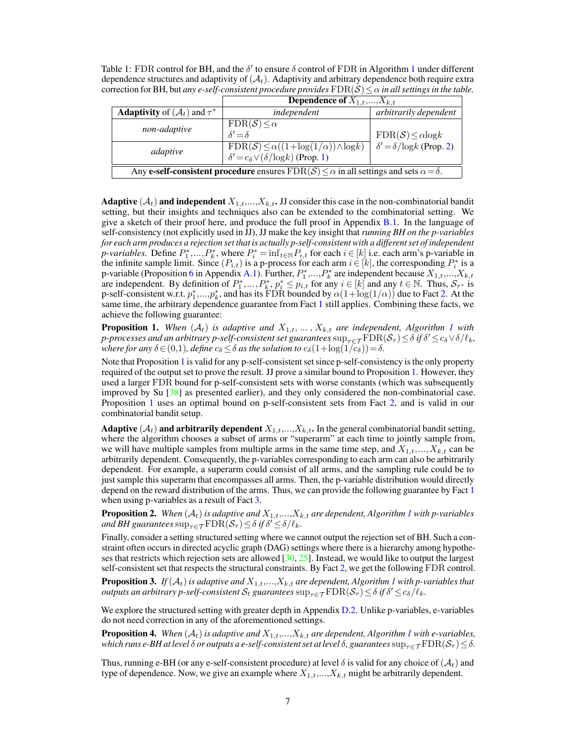<span id="page-6-0"></span>Table [1](#page-5-1): FDR control for BH, and the  $\delta'$  to ensure  $\delta$  control of FDR in Algorithm 1 under different dependence structures and adaptivity of  $(\mathcal{A}_t)$ . Adaptivity and arbitrary dependence both require extra correction for BH, but *any e-self-consistent procedure provides*  $FDR(S) \leq \alpha$  *in all settings in the table.* 

|                                                                                                           | <b>Dependence of</b> $X_{1,t},,X_{k,t}$                                                                             |                                       |
|-----------------------------------------------------------------------------------------------------------|---------------------------------------------------------------------------------------------------------------------|---------------------------------------|
| <b>Adaptivity</b> of $(\mathcal{A}_t)$ and $\tau^*$                                                       | independent                                                                                                         | arbitrarily dependent                 |
| non-adaptive                                                                                              | $FDR(S) \leq \alpha$<br>$\delta' = \delta$                                                                          | $FDR(S) \leq \alpha \log k$           |
| adaptive                                                                                                  | $FDR(S) \leq \alpha((1 + \log(1/\alpha)) \wedge \log k)$<br>$\delta' = c_{\delta} \vee (\delta / \log k)$ (Prop. 1) | $\delta' = \delta / \log k$ (Prop. 2) |
| Any e-self-consistent procedure ensures $FDR(S) \leq \alpha$ in all settings and sets $\alpha = \delta$ . |                                                                                                                     |                                       |

**Adaptive** ( $A_t$ ) and independent  $X_{1,t},...,X_{k,t}$ . JJ consider this case in the non-combinatorial bandit setting, but their insights and techniques also can be extended to the combinatorial setting. We give a sketch of their proof here, and produce the full proof in Appendix [B.1.](#page--1-8) In the language of self-consistency (not explicitly used in JJ), JJ make the key insight that *running BH on the p-variables for each arm produces a rejection set that is actually p-self-consistent with a different set of independent p*-variables. Define  $P_1^*$ , ...,  $P_k^*$ , where  $P_i^* = \inf_{t \in \mathbb{N}} P_{i,t}$  for each  $i \in [k]$  i.e. each arm's p-variable in the infinite sample limit. Since  $(P_{i,t})$  is a p-process for each arm  $i \in [k]$ , the corresponding  $P_i^*$  is a p-variable (Proposition [6](#page--1-9) in Appendix [A.1\)](#page--1-5). Further,  $P_1^*,...,P_k^*$  are independent because  $X_{1,t},...,X_{k,t}$ are independent. By definition of  $P_1^*,..., P_k^*, p_i^* \leq p_{i,t}$  for any  $i \in [k]$  and any  $t \in \mathbb{N}$ . Thus,  $S_{\tau^*}$  is p-self-consistent w.r.t.  $p_1^*,...,p_k^*$ , and has its  $\text{FDR}$  bounded by  $\alpha(1+\log(1/\alpha))$  due to Fact [2.](#page-4-3) At the same time, the arbitrary dependence guarantee from Fact [1](#page-4-2) still applies. Combining these facts, we achieve the following guarantee:

<span id="page-6-2"></span>**Proposition [1](#page-5-1).** When  $(A_t)$  is adaptive and  $X_{1,t}, \ldots, X_{k,t}$  are independent, Algorithm 1 with *p-processes and an arbitrary p-self-consistent set guarantees*  $\sup_{\tau\in\mathcal{T}}\bar{\text{FDR}}(\mathcal{S}_\tau)\leq$  õ if  $\delta'\leq$  c $_\delta$   $\vee$  õ  $/\ell_k$ , *where for any*  $\delta \in (0,1)$ *, define*  $c_{\delta} \leq \delta$  *as the solution to*  $c_{\delta}(1+\log(1/c_{\delta}))=\delta$ *.* 

Note that Proposition [1](#page-6-2) is valid for any p-self-consistent set since p-self-consistency is the only property required of the output set to prove the result. JJ prove a similar bound to Proposition [1.](#page-6-2) However, they used a larger FDR bound for p-self-consistent sets with worse constants (which was subsequently improved by Su [\[38\]](#page-11-11) as presented earlier), and they only considered the non-combinatorial case. Proposition [1](#page-6-2) uses an optimal bound on p-self-consistent sets from Fact [2,](#page-4-3) and is valid in our combinatorial bandit setup.

**Adaptive**  $(A_t)$  and arbitrarily dependent  $X_{1,t},...,X_{k,t}$ . In the general combinatorial bandit setting, where the algorithm chooses a subset of arms or "superarm" at each time to jointly sample from, we will have multiple samples from multiple arms in the same time step, and  $X_{1,t},..., X_{k,t}$  can be arbitrarily dependent. Consequently, the p-variables corresponding to each arm can also be arbitrarily dependent. For example, a superarm could consist of all arms, and the sampling rule could be to just sample this superarm that encompasses all arms. Then, the p-variable distribution would directly depend on the reward distribution of the arms. Thus, we can provide the following guarantee by Fact [1](#page-4-2) when using p-variables as a result of Fact [3.](#page-4-4)

<span id="page-6-1"></span>**Proposition 2.** When  $(A_t)$  is adaptive and  $X_{1,t},...,X_{k,t}$  $X_{1,t},...,X_{k,t}$  $X_{1,t},...,X_{k,t}$  are dependent, Algorithm 1 with p-variables and BH guarantees  $\sup_{\tau \in \mathcal{T}} \text{FDR}(\mathcal{S}_{\tau}) \leq \delta$  if  $\delta' \leq \delta/\ell_k$ .

Finally, consider a setting structured setting where we cannot output the rejection set of BH. Such a constraint often occurs in directed acyclic graph (DAG) settings where there is a hierarchy among hypotheses that restricts which rejection sets are allowed  $[30, 25]$  $[30, 25]$  $[30, 25]$ . Instead, we would like to output the largest self-consistent set that respects the structural constraints. By Fact [2,](#page-4-3) we get the following FDR control.

**Proposition 3.** If  $(\mathcal{A}_t)$  is adaptive and  $X_{1,t},...,X_{k,t}$  $X_{1,t},...,X_{k,t}$  $X_{1,t},...,X_{k,t}$  are dependent, Algorithm  $1$  with p-variables that  $\alpha$  *outputs an arbitrary p-self-consistent*  $\mathcal{S}_t$  *guarantees*  $\sup_{\tau \in \mathcal{T}} \mathrm{FDR}(\mathcal{S}_\tau) \leq \delta$  *if*  $\delta' \leq c_\delta/\ell_k$ *.* 

We explore the structured setting with greater depth in Appendix [D.2.](#page--1-10) Unlike p-variables, e-variables do not need correction in any of the aforementioned settings.

<span id="page-6-3"></span>**Proposition 4.** *When*  $(A_t)$  *is adaptive and*  $X_{1,t},...,X_{k,t}$  $X_{1,t},...,X_{k,t}$  $X_{1,t},...,X_{k,t}$  *are dependent, Algorithm 1 with e-variables, which runs e-BH at level*  $\delta$  *or outputs a e-self-consistent set at level*  $\delta$ , guarantees  $\sup_{\tau \in \mathcal{T}} \text{FDR}(\mathcal{S}_{\tau}) \leq \delta$ .

Thus, running e-BH (or any e-self-consistent procedure) at level  $\delta$  is valid for any choice of  $(\mathcal{A}_t)$  and type of dependence. Now, we give an example where  $X_{1,t},..., X_{k,t}$  might be arbitrarily dependent.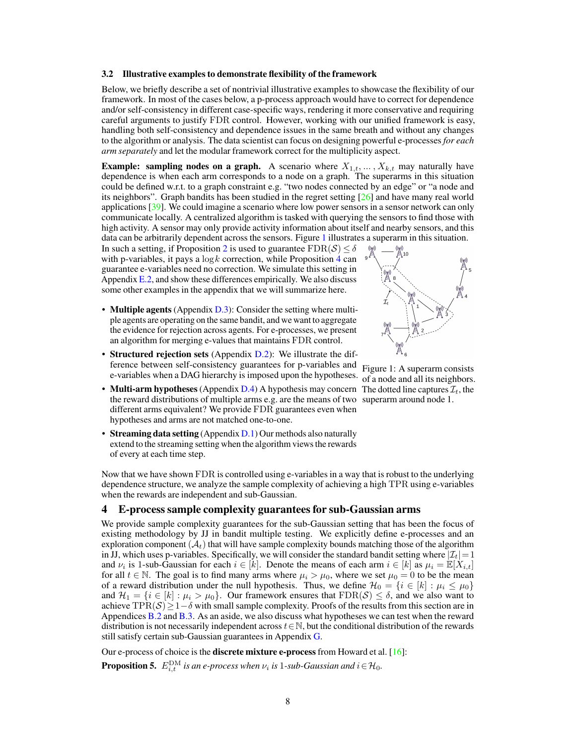#### 3.2 Illustrative examples to demonstrate flexibility of the framework

Below, we briefly describe a set of nontrivial illustrative examples to showcase the flexibility of our framework. In most of the cases below, a p-process approach would have to correct for dependence and/or self-consistency in different case-specific ways, rendering it more conservative and requiring careful arguments to justify FDR control. However, working with our unified framework is easy, handling both self-consistency and dependence issues in the same breath and without any changes to the algorithm or analysis. The data scientist can focus on designing powerful e-processes *for each arm separately* and let the modular framework correct for the multiplicity aspect.

**Example: sampling nodes on a graph.** A scenario where  $X_{1,t}, \ldots, X_{k,t}$  may naturally have dependence is when each arm corresponds to a node on a graph. The superarms in this situation could be defined w.r.t. to a graph constraint e.g. "two nodes connected by an edge" or "a node and its neighbors". Graph bandits has been studied in the regret setting [\[26\]](#page-11-14) and have many real world applications [\[39\]](#page-11-15). We could imagine a scenario where low power sensors in a sensor network can only communicate locally. A centralized algorithm is tasked with querying the sensors to find those with high activity. A sensor may only provide activity information about itself and nearby sensors, and this data can be arbitrarily dependent across the sensors. Figure [1](#page-7-1) illustrates a superarm in this situation.

In such a setting, if Proposition [2](#page-6-1) is used to guarantee  $FDR(S) \leq \delta$ with p-variables, it pays a  $\log k$  correction, while Proposition [4](#page-6-3) can guarantee e-variables need no correction. We simulate this setting in Appendix  $E.2$ , and show these differences empirically. We also discuss some other examples in the appendix that we will summarize here.

- Multiple agents (Appendix [D.3\)](#page--1-0): Consider the setting where multiple agents are operating on the same bandit, and we want to aggregate the evidence for rejection across agents. For e-processes, we present an algorithm for merging e-values that maintains FDR control.
- e-variables when a DAG hierarchy is imposed upon the hypotheses. of a node and all its neighbors. • **Structured rejection sets** (Appendix [D.2\)](#page--1-10): We illustrate the difference between self-consistency guarantees for p-variables and
- Multi-arm hypotheses (Appendix [D.4\)](#page--1-12) A hypothesis may concern The dotted line captures  $\mathcal{I}_t$ , the the reward distributions of multiple arms e.g. are the means of two superarm around node 1. different arms equivalent? We provide FDR guarantees even when hypotheses and arms are not matched one-to-one.

<span id="page-7-1"></span>

Figure 1: A superarm consists

• Streaming data setting (Appendix [D.1\)](#page--1-3) Our methods also naturally extend to the streaming setting when the algorithm views the rewards of every at each time step.

Now that we have shown FDR is controlled using e-variables in a way that is robust to the underlying dependence structure, we analyze the sample complexity of achieving a high TPR using e-variables when the rewards are independent and sub-Gaussian.

### <span id="page-7-0"></span>4 E-process sample complexity guarantees for sub-Gaussian arms

We provide sample complexity guarantees for the sub-Gaussian setting that has been the focus of existing methodology by JJ in bandit multiple testing. We explicitly define e-processes and an exploration component  $(\mathcal{A}_t)$  that will have sample complexity bounds matching those of the algorithm in JJ, which uses p-variables. Specifically, we will consider the standard bandit setting where  $|\mathcal{I}_t|=1$ and  $\nu_i$  is 1-sub-Gaussian for each  $i \in [k]$ . Denote the means of each arm  $i \in [k]$  as  $\mu_i = \mathbb{E}[X_{i,t}]$ for all  $t \in \mathbb{N}$ . The goal is to find many arms where  $\mu_i > \mu_0$ , where we set  $\mu_0 = 0$  to be the mean of a reward distribution under the null hypothesis. Thus, we define  $\mathcal{H}_0 = \{i \in [k] : \mu_i \leq \mu_0\}$ and  $\mathcal{H}_1 = \{i \in [k] : \mu_i > \mu_0\}$ . Our framework ensures that  $FDR(S) \leq \delta$ , and we also want to achieve TPR(S) $\geq 1-\delta$  with small sample complexity. Proofs of the results from this section are in Appendices  $B.2$  and  $B.3$ . As an aside, we also discuss what hypotheses we can test when the reward distribution is not necessarily independent across  $t \in \mathbb{N}$ , but the conditional distribution of the rewards still satisfy certain sub-Gaussian guarantees in Appendix [G.](#page--1-2)

Our e-process of choice is the **discrete mixture e-process** from Howard et al.  $[16]$ : **Proposition 5.**  $E_{i,t}^{\text{DM}}$  is an e-process when  $\nu_i$  is 1-sub-Gaussian and  $i \in \mathcal{H}_0$ .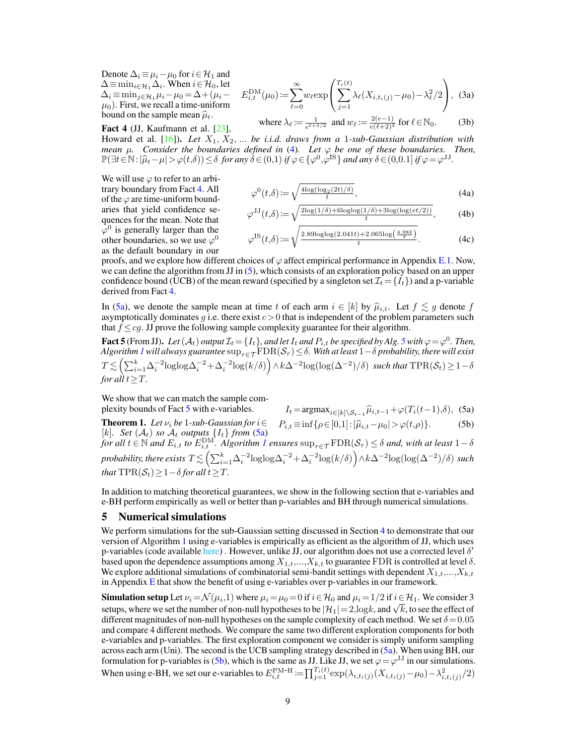Denote  $\Delta_i \equiv \mu_i - \mu_0$  for  $i \in \mathcal{H}_1$  and  $\Delta$ ≡min<sub>i∈</sub> $\mathcal{H}_1 \Delta_i$ . When  $i \in \mathcal{H}_0$ , let  $\Delta_i \equiv \min_{j \in \mathcal{H}_1} \mu_i - \mu_0 = \Delta + (\mu_i \mu_0$ ). First, we recall a time-uniform bound on the sample mean  $\hat{\mu}_t$ .

<span id="page-8-1"></span>Fact 4 (JJ, Kaufmann et al. [\[23\]](#page-11-4),

$$
E_{i,t}^{\text{DM}}(\mu_0) := \sum_{\ell=0}^{\infty} w_{\ell} \exp\left(\sum_{j=1}^{T_i(t)} \lambda_{\ell}(X_{i,t_i(j)} - \mu_0) - \lambda_{\ell}^2/2\right), \tag{3a}
$$

where 
$$
\lambda_{\ell} := \frac{1}{e^{\ell+5/2}}
$$
 and  $w_{\ell} := \frac{2(e-1)}{e(\ell+2)^2}$  for  $\ell \in \mathbb{N}_0$ . (3b)

Howard et al.  $[16]$ ). *Let*  $X_1, X_2, ...$  *be i.i.d. draws from a* 1-sub-Gaussian distribution with *mean*  $\mu$ . Consider the boundaries defined in [\(4\)](#page-8-0). Let  $\varphi$  be one of these boundaries. Then,  $\mathbb{P}(\exists t \in \mathbb{N} : |\hat{\mu}_t - \mu| > \varphi(t,\delta)) \le \delta \text{ for any } \delta \in (0,1) \text{ if } \varphi \in {\varphi^0, \varphi^{\text{IS}}} \text{ and any } \delta \in (0,0.1] \text{ if } \varphi = \varphi^{\text{JJ}}.$ 

We will use  $\varphi$  to refer to an arbitrary boundary from Fact [4.](#page-8-1) All of the  $\varphi$  are time-uniform boundaries that yield confidence sequences for the mean. Note that  $\bar{\varphi}^0$  is generally larger than the other boundaries, so we use  $\varphi^0$ as the default boundary in our

$$
\varphi^{0}(t,\delta) := \sqrt{\frac{4\log(\log_2(2t)/\delta)}{t}},
$$
\n(4a)

<span id="page-8-0"></span>
$$
\varphi^{JJ}(t,\delta) := \sqrt{\frac{2\log(1/\delta) + 6\log\log(1/\delta) + 3\log(\log(et/2))}{t}},\tag{4b}
$$

$$
\varphi^{\text{IS}}(t,\delta) := \sqrt{\frac{2.89 \text{log} \log(2.041t) + 2.065 \text{log}\left(\frac{4.983}{\delta}\right)}{t}}.
$$
 (4c)

proofs, and we explore how different choices of  $\varphi$  affect empirical performance in Appendix [E.1.](#page--1-14) Now, we can define the algorithm from JJ in [\(5\)](#page-8-2), which consists of an exploration policy based on an upper confidence bound (UCB) of the mean reward (specified by a singleton set  $\mathcal{I}_t = \{I_t\}$ ) and a p-variable derived from Fact [4.](#page-8-1)

In [\(5a\)](#page-8-3), we denote the sample mean at time t of each arm  $i \in [k]$  by  $\hat{\mu}_{i,t}$ . Let  $f \lesssim g$  denote f asymptotically dominates  $q$  i.e. there exist  $c > 0$  that is independent of the problem parameters such that  $f \le cg$ . JJ prove the following sample complexity guarantee for their algorithm.

<span id="page-8-4"></span>Fact [5](#page-8-2) (From JJ). Let  $(A_t)$  output  $\mathcal{I}_t = \{I_t\}$ , and let  $I_t$  and  $P_{i,t}$  be specified by Alg. 5 with  $\varphi = \varphi^0$ . Then, *Algorithm*  $1$  *will always guarantee*  $\sup_{\tau \in \mathcal{T}}\text{FDR}(\mathcal{S}_\tau)$  ≤  $\delta$ . With at least  $1-\delta$  probability, there will exist  $T \lesssim \left( \sum_{i=1}^k \Delta_i^{-2} \log( \Delta \Delta_i^{-2} + \Delta_i^{-2} \log(k/\delta) \right) \wedge k \Delta^{-2} \log( \log( \Delta^{-2}) / \delta ) ~~\textit{such that}~\text{TPR}(\mathcal{S}_t) \geq 1 - \delta$ *for all*  $t > T$ .

We show that we can match the sample complexity bounds of Fact [5](#page-8-4) with e-variables.

<span id="page-8-3"></span><span id="page-8-2"></span>
$$
I_t = \operatorname{argmax}_{i \in [k] \setminus \mathcal{S}_{t-1}} \widehat{\mu}_{i,t-1} + \varphi(T_i(t-1), \delta), \tag{5a}
$$

plexity bounds of Fact 5 with e-variables.<br>
Theorem 1. *Let*  $\nu_i$  *be* 1*-sub-Gaussian for*  $i \in P_i$ <sub>*t*</sub> ≡ inf{ $\rho \in [0,1]: |\hat{\mu}_{i,t} - \mu_0| > \varphi(t,\rho)$ }. (5b) **Theorem 1.** Let  $\nu_i$  be 1-sub-Gaussian for  $i \in P_{i,t} \equiv \inf \{ \rho \in [0,1]: |\hat{\mu}_{i,t} - \mu_0| > \varphi(t,\rho) \}.$  (5b)  $[k]$ .  $Set(\mathcal{A}_t)$  so  $\mathcal{A}_t$  outputs  $\{I_t\}$  from [\(5a\)](#page-8-3)

 $f$ or all  $t \in \mathbb{N}$  and  $E_{i,t}$  to  $E_{i,t}^{\text{DM}}$ . Algorithm [1](#page-5-1) ensures  $\sup_{\tau \in \mathcal{T}} \text{FDR}(\mathcal{S}_{\tau}) \leq \delta$  and, with at least  $1-\delta$  $p$ robability, there exists  $T$   $\lesssim$   $\left( \sum_{i=1}^k \Delta_i^{-2} \mathrm{loglog} \Delta_i^{-2} + \Delta_i^{-2} \mathrm{log}(k/\delta) \right)$   $\wedge$   $k\Delta^{-2} \mathrm{log}(\mathrm{log}(\Delta^{-2})/\delta)$  such *that*  $TPR(S_t) > 1 - \delta$  *for all*  $t > T$ .

In addition to matching theoretical guarantees, we show in the following section that e-variables and e-BH perform empirically as well or better than p-variables and BH through numerical simulations.

## 5 Numerical simulations

We perform simulations for the sub-Gaussian setting discussed in Section [4](#page-7-0) to demonstrate that our version of Algorithm [1](#page-5-1) using e-variables is empirically as efficient as the algorithm of JJ, which uses p-variables (code available [here\)](https://github.com/neilzxu/e_bmt). However, unlike JJ, our algorithm does not use a corrected level  $\delta'$ based upon the dependence assumptions among  $X_{1,t},...,X_{k,t}$  to guarantee FDR is controlled at level  $\delta$ . We explore additional simulations of combinatorial semi-bandit settings with dependent  $X_{1,t},...,X_{k,t}$ in Appendix  $E$  that show the benefit of using e-variables over p-variables in our framework.

**Simulation setup** Let  $\nu_i = \mathcal{N}(\mu_i, 1)$  where  $\mu_i = \mu_0 = 0$  if  $i \in \mathcal{H}_0$  and  $\mu_i = 1/2$  if  $i \in \mathcal{H}_1$ . We consider 3 **SIMURDION SEUP** Let  $\nu_i = \mathcal{N}(\mu_i, 1)$  where  $\mu_i = \mu_0 = 0$  if  $i \in \mathcal{H}_0$  and  $\mu_i = 1/2$  if  $i \in \mathcal{H}_1$ . We consider 5 setups, where we set the number of non-null hypotheses to be  $|\mathcal{H}_1| = 2$ , logk, and  $\sqrt{k}$ , to s different magnitudes of non-null hypotheses on the sample complexity of each method. We set  $\delta = 0.05$ and compare 4 different methods. We compare the same two different exploration components for both e-variables and p-variables. The first exploration component we consider is simply uniform sampling across each arm (Uni). The second is the UCB sampling strategy described in [\(5a\)](#page-8-3). When using BH, our formulation for p-variables is [\(5b\)](#page-8-2), which is the same as JJ. Like JJ, we set  $\varphi = \varphi^{JJ}$  in our simulations. When using e-BH, we set our e-variables to  $E_{i,t}^{\text{PM-H}} := \prod_{j=1}^{T_i(t)} \exp(\lambda_{i,t_i(j)}(X_{i,t_i(j)} - \mu_0) - \lambda_{i,t_i(j)}^2/2)$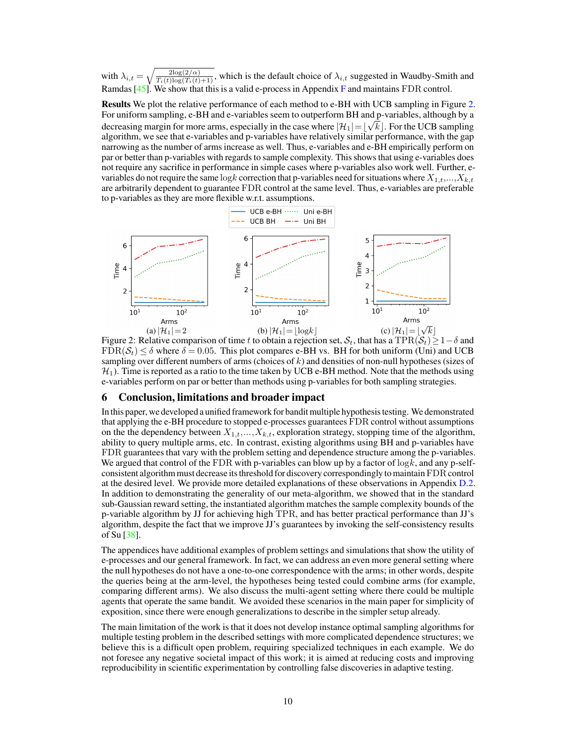with  $\lambda_{i,t} =$  $\sqrt{\frac{2\log(2/\alpha)}{T_i(t)\log(T_i(t)+1)}}$ , which is the default choice of  $\lambda_{i,t}$  suggested in Waudby-Smith and Ramdas  $[45]$ . We show that this is a valid e-process in Appendix [F](#page--1-4) and maintains FDR control.

Results We plot the relative performance of each method to e-BH with UCB sampling in Figure [2.](#page-9-0) For uniform sampling, e-BH and e-variables seem to outperform BH and p-variables, although by a √ decreasing margin for more arms, especially in the case where  $|\mathcal{H}_1|$   $=$   $\lfloor \sqrt{k} \rfloor$ . For the UCB sampling algorithm, we see that e-variables and p-variables have relatively similar performance, with the gap narrowing as the number of arms increase as well. Thus, e-variables and e-BH empirically perform on par or better than p-variables with regards to sample complexity. This shows that using e-variables does not require any sacrifice in performance in simple cases where p-variables also work well. Further, evariables do not require the same log k correction that p-variables need for situations where  $X_{1,t},...,X_{k,t}$ are arbitrarily dependent to guarantee FDR control at the same level. Thus, e-variables are preferable to p-variables as they are more flexible w.r.t. assumptions.

<span id="page-9-0"></span>

Figure 2: Relative comparison of time t to obtain a rejection set,  $S_t$ , that has a TPR( $S_t$ ) ≥ 1 –  $\delta$  and  $FDR(S_t) \leq \delta$  where  $\delta = 0.05$ . This plot compares e-BH vs. BH for both uniform (Uni) and UCB sampling over different numbers of arms (choices of  $k$ ) and densities of non-null hypotheses (sizes of  $\mathcal{H}_1$ ). Time is reported as a ratio to the time taken by UCB e-BH method. Note that the methods using e-variables perform on par or better than methods using p-variables for both sampling strategies.

## 6 Conclusion, limitations and broader impact

In this paper, we developed a unified framework for bandit multiple hypothesis testing. We demonstrated that applying the e-BH procedure to stopped e-processes guarantees FDR control without assumptions on the the dependency between  $X_{1,t},...,X_{k,t}$ , exploration strategy, stopping time of the algorithm, ability to query multiple arms, etc. In contrast, existing algorithms using BH and p-variables have FDR guarantees that vary with the problem setting and dependence structure among the p-variables. We argued that control of the FDR with p-variables can blow up by a factor of  $log k$ , and any p-selfconsistent algorithm must decrease its threshold for discovery correspondingly to maintainFDR control at the desired level. We provide more detailed explanations of these observations in Appendix [D.2.](#page--1-10) In addition to demonstrating the generality of our meta-algorithm, we showed that in the standard sub-Gaussian reward setting, the instantiated algorithm matches the sample complexity bounds of the p-variable algorithm by JJ for achieving high TPR, and has better practical performance than JJ's algorithm, despite the fact that we improve JJ's guarantees by invoking the self-consistency results of Su [\[38\]](#page-11-11).

The appendices have additional examples of problem settings and simulations that show the utility of e-processes and our general framework. In fact, we can address an even more general setting where the null hypotheses do not have a one-to-one correspondence with the arms; in other words, despite the queries being at the arm-level, the hypotheses being tested could combine arms (for example, comparing different arms). We also discuss the multi-agent setting where there could be multiple agents that operate the same bandit. We avoided these scenarios in the main paper for simplicity of exposition, since there were enough generalizations to describe in the simpler setup already.

The main limitation of the work is that it does not develop instance optimal sampling algorithms for multiple testing problem in the described settings with more complicated dependence structures; we believe this is a difficult open problem, requiring specialized techniques in each example. We do not foresee any negative societal impact of this work; it is aimed at reducing costs and improving reproducibility in scientific experimentation by controlling false discoveries in adaptive testing.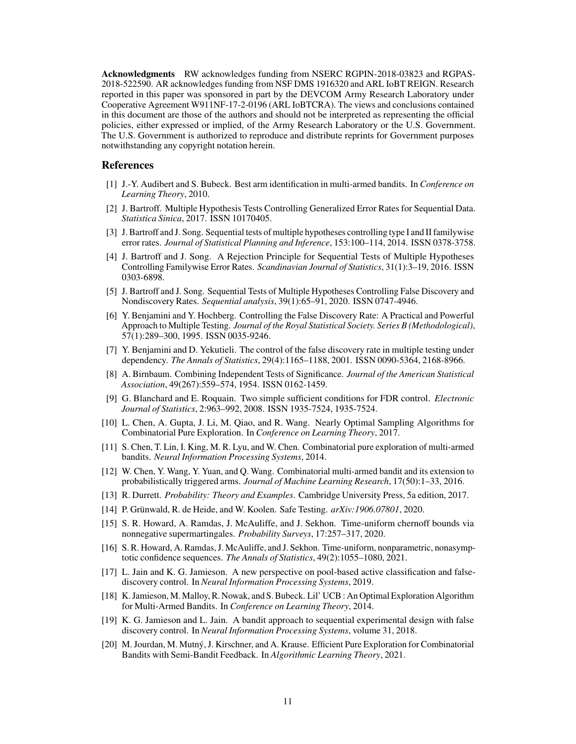Acknowledgments RW acknowledges funding from NSERC RGPIN-2018-03823 and RGPAS-2018-522590. AR acknowledges funding from NSF DMS 1916320 and ARL IoBT REIGN. Research reported in this paper was sponsored in part by the DEVCOM Army Research Laboratory under Cooperative Agreement W911NF-17-2-0196 (ARL IoBTCRA). The views and conclusions contained in this document are those of the authors and should not be interpreted as representing the official policies, either expressed or implied, of the Army Research Laboratory or the U.S. Government. The U.S. Government is authorized to reproduce and distribute reprints for Government purposes notwithstanding any copyright notation herein.

## References

- <span id="page-10-4"></span>[1] J.-Y. Audibert and S. Bubeck. Best arm identification in multi-armed bandits. In *Conference on Learning Theory*, 2010.
- [2] J. Bartroff. Multiple Hypothesis Tests Controlling Generalized Error Rates for Sequential Data. *Statistica Sinica*, 2017. ISSN 10170405.
- [3] J. Bartroff and J. Song. Sequential tests of multiple hypotheses controlling type I and II familywise error rates. *Journal of Statistical Planning and Inference*, 153:100–114, 2014. ISSN 0378-3758.
- [4] J. Bartroff and J. Song. A Rejection Principle for Sequential Tests of Multiple Hypotheses Controlling Familywise Error Rates. *Scandinavian Journal of Statistics*, 31(1):3–19, 2016. ISSN 0303-6898.
- [5] J. Bartroff and J. Song. Sequential Tests of Multiple Hypotheses Controlling False Discovery and Nondiscovery Rates. *Sequential analysis*, 39(1):65–91, 2020. ISSN 0747-4946.
- <span id="page-10-9"></span>[6] Y. Benjamini and Y. Hochberg. Controlling the False Discovery Rate: A Practical and Powerful Approach to Multiple Testing. *Journal of the Royal Statistical Society. Series B (Methodological)*, 57(1):289–300, 1995. ISSN 0035-9246.
- <span id="page-10-12"></span>[7] Y. Benjamini and D. Yekutieli. The control of the false discovery rate in multiple testing under dependency. *The Annals of Statistics*, 29(4):1165–1188, 2001. ISSN 0090-5364, 2168-8966.
- [8] A. Birnbaum. Combining Independent Tests of Significance. *Journal of the American Statistical Association*, 49(267):559–574, 1954. ISSN 0162-1459.
- <span id="page-10-11"></span>[9] G. Blanchard and E. Roquain. Two simple sufficient conditions for FDR control. *Electronic Journal of Statistics*, 2:963–992, 2008. ISSN 1935-7524, 1935-7524.
- <span id="page-10-7"></span>[10] L. Chen, A. Gupta, J. Li, M. Qiao, and R. Wang. Nearly Optimal Sampling Algorithms for Combinatorial Pure Exploration. In *Conference on Learning Theory*, 2017.
- <span id="page-10-5"></span>[11] S. Chen, T. Lin, I. King, M. R. Lyu, and W. Chen. Combinatorial pure exploration of multi-armed bandits. *Neural Information Processing Systems*, 2014.
- <span id="page-10-10"></span>[12] W. Chen, Y. Wang, Y. Yuan, and Q. Wang. Combinatorial multi-armed bandit and its extension to probabilistically triggered arms. *Journal of Machine Learning Research*, 17(50):1–33, 2016.
- [13] R. Durrett. *Probability: Theory and Examples*. Cambridge University Press, 5a edition, 2017.
- <span id="page-10-2"></span>[14] P. Grünwald, R. de Heide, and W. Koolen. Safe Testing. *arXiv:1906.07801*, 2020.
- <span id="page-10-3"></span>[15] S. R. Howard, A. Ramdas, J. McAuliffe, and J. Sekhon. Time-uniform chernoff bounds via nonnegative supermartingales. *Probability Surveys*, 17:257–317, 2020.
- <span id="page-10-13"></span>[16] S. R. Howard, A. Ramdas, J. McAuliffe, and J. Sekhon. Time-uniform, nonparametric, nonasymptotic confidence sequences. *The Annals of Statistics*, 49(2):1055–1080, 2021.
- <span id="page-10-1"></span>[17] L. Jain and K. G. Jamieson. A new perspective on pool-based active classification and falsediscovery control. In *Neural Information Processing Systems*, 2019.
- <span id="page-10-6"></span>[18] K. Jamieson, M. Malloy, R. Nowak, and S. Bubeck. Lil' UCB : An Optimal Exploration Algorithm for Multi-Armed Bandits. In *Conference on Learning Theory*, 2014.
- <span id="page-10-0"></span>[19] K. G. Jamieson and L. Jain. A bandit approach to sequential experimental design with false discovery control. In *Neural Information Processing Systems*, volume 31, 2018.
- <span id="page-10-8"></span>[20] M. Jourdan, M. Mutný, J. Kirschner, and A. Krause. Efficient Pure Exploration for Combinatorial Bandits with Semi-Bandit Feedback. In *Algorithmic Learning Theory*, 2021.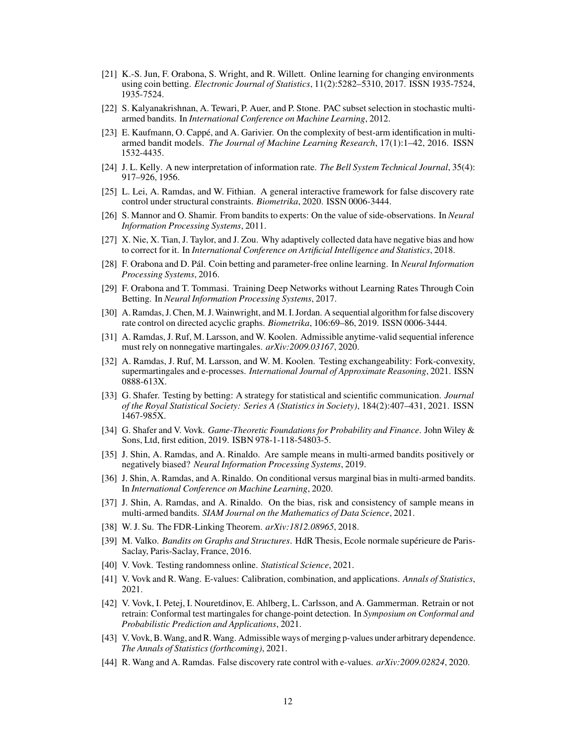- [21] K.-S. Jun, F. Orabona, S. Wright, and R. Willett. Online learning for changing environments using coin betting. *Electronic Journal of Statistics*, 11(2):5282–5310, 2017. ISSN 1935-7524, 1935-7524.
- <span id="page-11-3"></span>[22] S. Kalyanakrishnan, A. Tewari, P. Auer, and P. Stone. PAC subset selection in stochastic multiarmed bandits. In *International Conference on Machine Learning*, 2012.
- <span id="page-11-4"></span>[23] E. Kaufmann, O. Cappé, and A. Garivier. On the complexity of best-arm identification in multiarmed bandit models. *The Journal of Machine Learning Research*, 17(1):1–42, 2016. ISSN 1532-4435.
- [24] J. L. Kelly. A new interpretation of information rate. *The Bell System Technical Journal*, 35(4): 917–926, 1956.
- <span id="page-11-13"></span>[25] L. Lei, A. Ramdas, and W. Fithian. A general interactive framework for false discovery rate control under structural constraints. *Biometrika*, 2020. ISSN 0006-3444.
- <span id="page-11-14"></span>[26] S. Mannor and O. Shamir. From bandits to experts: On the value of side-observations. In *Neural Information Processing Systems*, 2011.
- <span id="page-11-7"></span>[27] X. Nie, X. Tian, J. Taylor, and J. Zou. Why adaptively collected data have negative bias and how to correct for it. In *International Conference on Artificial Intelligence and Statistics*, 2018.
- [28] F. Orabona and D. Pál. Coin betting and parameter-free online learning. In *Neural Information Processing Systems*, 2016.
- [29] F. Orabona and T. Tommasi. Training Deep Networks without Learning Rates Through Coin Betting. In *Neural Information Processing Systems*, 2017.
- <span id="page-11-12"></span>[30] A. Ramdas, J. Chen, M. J.Wainwright, and M. I. Jordan. A sequential algorithm for false discovery rate control on directed acyclic graphs. *Biometrika*, 106:69–86, 2019. ISSN 0006-3444.
- <span id="page-11-5"></span>[31] A. Ramdas, J. Ruf, M. Larsson, and W. Koolen. Admissible anytime-valid sequential inference must rely on nonnegative martingales. *arXiv:2009.03167*, 2020.
- <span id="page-11-0"></span>[32] A. Ramdas, J. Ruf, M. Larsson, and W. M. Koolen. Testing exchangeability: Fork-convexity, supermartingales and e-processes. *International Journal of Approximate Reasoning*, 2021. ISSN 0888-613X.
- <span id="page-11-1"></span>[33] G. Shafer. Testing by betting: A strategy for statistical and scientific communication. *Journal of the Royal Statistical Society: Series A (Statistics in Society)*, 184(2):407–431, 2021. ISSN 1467-985X.
- [34] G. Shafer and V. Vovk. *Game-Theoretic Foundations for Probability and Finance*. John Wiley & Sons, Ltd, first edition, 2019. ISBN 978-1-118-54803-5.
- <span id="page-11-8"></span>[35] J. Shin, A. Ramdas, and A. Rinaldo. Are sample means in multi-armed bandits positively or negatively biased? *Neural Information Processing Systems*, 2019.
- <span id="page-11-9"></span>[36] J. Shin, A. Ramdas, and A. Rinaldo. On conditional versus marginal bias in multi-armed bandits. In *International Conference on Machine Learning*, 2020.
- <span id="page-11-10"></span>[37] J. Shin, A. Ramdas, and A. Rinaldo. On the bias, risk and consistency of sample means in multi-armed bandits. *SIAM Journal on the Mathematics of Data Science*, 2021.
- <span id="page-11-11"></span>[38] W. J. Su. The FDR-Linking Theorem. *arXiv:1812.08965*, 2018.
- <span id="page-11-15"></span>[39] M. Valko. *Bandits on Graphs and Structures*. HdR Thesis, Ecole normale supérieure de Paris-Saclay, Paris-Saclay, France, 2016.
- [40] V. Vovk. Testing randomness online. *Statistical Science*, 2021.
- <span id="page-11-6"></span>[41] V. Vovk and R. Wang. E-values: Calibration, combination, and applications. *Annals of Statistics*, 2021.
- [42] V. Vovk, I. Petej, I. Nouretdinov, E. Ahlberg, L. Carlsson, and A. Gammerman. Retrain or not retrain: Conformal test martingales for change-point detection. In *Symposium on Conformal and Probabilistic Prediction and Applications*, 2021.
- [43] V. Vovk, B.Wang, and R.Wang. Admissible ways of merging p-values under arbitrary dependence. *The Annals of Statistics (forthcoming)*, 2021.
- <span id="page-11-2"></span>[44] R. Wang and A. Ramdas. False discovery rate control with e-values. *arXiv:2009.02824*, 2020.